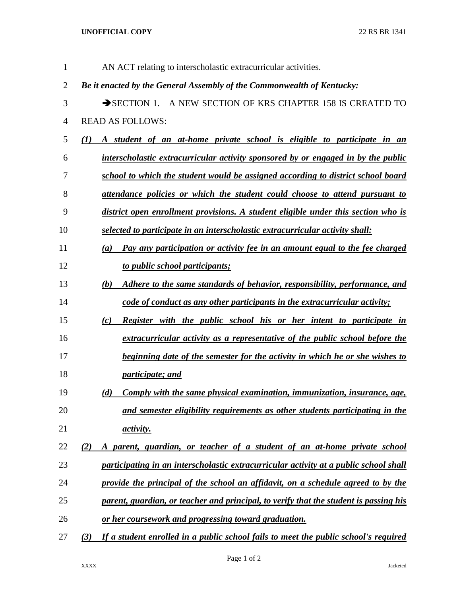**UNOFFICIAL COPY** 22 RS BR 1341

| $\mathbf{1}$   | AN ACT relating to interscholastic extracurricular activities.                                  |
|----------------|-------------------------------------------------------------------------------------------------|
| $\overline{2}$ | Be it enacted by the General Assembly of the Commonwealth of Kentucky:                          |
| 3              | SECTION 1. A NEW SECTION OF KRS CHAPTER 158 IS CREATED TO                                       |
| 4              | <b>READ AS FOLLOWS:</b>                                                                         |
| 5              | A student of an at-home private school is eligible to participate in an<br>$\mathbf{U}$         |
| 6              | interscholastic extracurricular activity sponsored by or engaged in by the public               |
| 7              | school to which the student would be assigned according to district school board                |
| 8              | attendance policies or which the student could choose to attend pursuant to                     |
| 9              | district open enrollment provisions. A student eligible under this section who is               |
| 10             | selected to participate in an interscholastic extracurricular activity shall:                   |
| 11             | Pay any participation or activity fee in an amount equal to the fee charged<br>$\left(a\right)$ |
| 12             | to public school participants;                                                                  |
| 13             | Adhere to the same standards of behavior, responsibility, performance, and<br>(b)               |
| 14             | code of conduct as any other participants in the extracurricular activity;                      |
| 15             | <b>Register with the public school his or her intent to participate in</b><br>(c)               |
| 16             | extracurricular activity as a representative of the public school before the                    |
| 17             | beginning date of the semester for the activity in which he or she wishes to                    |
| 18             | <i>participate; and</i>                                                                         |
| 19             | Comply with the same physical examination, immunization, insurance, age,<br>(d)                 |
| 20             | and semester eligibility requirements as other students participating in the                    |
| 21             | <i>activity.</i>                                                                                |
| 22             | A parent, guardian, or teacher of a student of an at-home private school<br>(2)                 |
| 23             | participating in an interscholastic extracurricular activity at a public school shall           |
| 24             | provide the principal of the school an affidavit, on a schedule agreed to by the                |
| 25             | parent, guardian, or teacher and principal, to verify that the student is passing his           |
| 26             | or her coursework and progressing toward graduation.                                            |
| 27             | If a student enrolled in a public school fails to meet the public school's required<br>(3)      |